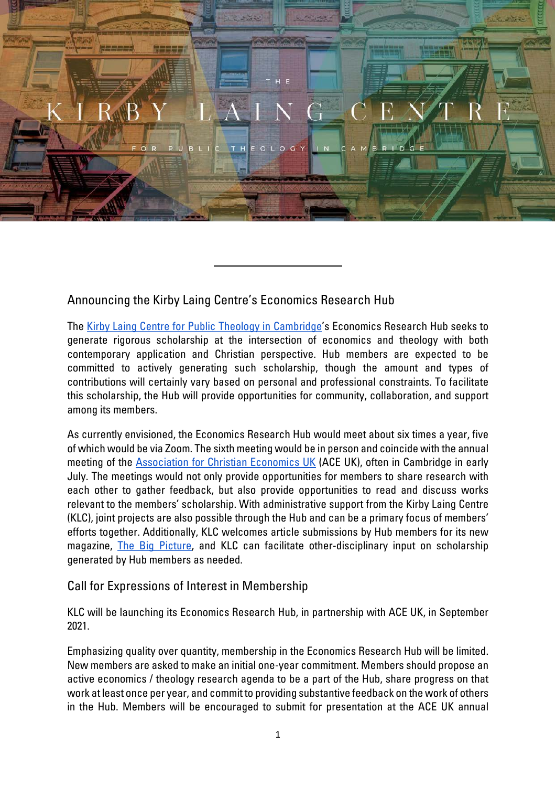

## Announcing the Kirby Laing Centre's Economics Research Hub

The [Kirby Laing Centre for Public Theology in Cambridge'](https://kirbylaingcentre.co.uk/)s Economics Research Hub seeks to generate rigorous scholarship at the intersection of economics and theology with both contemporary application and Christian perspective. Hub members are expected to be committed to actively generating such scholarship, though the amount and types of contributions will certainly vary based on personal and professional constraints. To facilitate this scholarship, the Hub will provide opportunities for community, collaboration, and support among its members.

As currently envisioned, the Economics Research Hub would meet about six times a year, five of which would be via Zoom. The sixth meeting would be in person and coincide with the annual meeting of the [Association for Christian Economics UK](https://christian-economics.org.uk/#:%7E:text=ACE%20aims%20to%20promote%20discussion,from%20a%20distinctively%20Christian%20perspective.&text=Membership%20is%20open%20to%20all,within%20a%20specifically%20Christian%20worldview.) (ACE UK), often in Cambridge in early July. The meetings would not only provide opportunities for members to share research with each other to gather feedback, but also provide opportunities to read and discuss works relevant to the members' scholarship. With administrative support from the Kirby Laing Centre (KLC), joint projects are also possible through the Hub and can be a primary focus of members' efforts together. Additionally, KLC welcomes article submissions by Hub members for its new magazine, [The Big Picture,](https://kirbylaingcentre.co.uk/the-big-picture/) and KLC can facilitate other-disciplinary input on scholarship generated by Hub members as needed.

## Call for Expressions of Interest in Membership

KLC will be launching its Economics Research Hub, in partnership with ACE UK, in September 2021.

Emphasizing quality over quantity, membership in the Economics Research Hub will be limited. New members are asked to make an initial one-year commitment. Members should propose an active economics / theology research agenda to be a part of the Hub, share progress on that work at least once per year, and commit to providing substantive feedback on the work of others in the Hub. Members will be encouraged to submit for presentation at the ACE UK annual